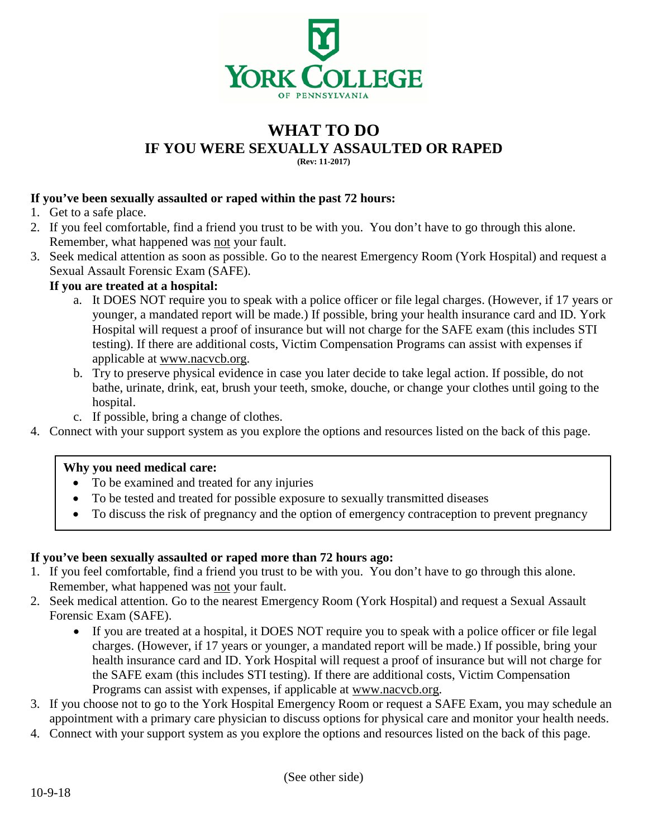

### **WHAT TO DO IF YOU WERE SEXUALLY ASSAULTED OR RAPED (Rev: 11-2017)**

### **If you've been sexually assaulted or raped within the past 72 hours:**

- 1. Get to a safe place.
- 2. If you feel comfortable, find a friend you trust to be with you. You don't have to go through this alone. Remember, what happened was not your fault.
- 3. Seek medical attention as soon as possible. Go to the nearest Emergency Room (York Hospital) and request a Sexual Assault Forensic Exam (SAFE).

### **If you are treated at a hospital:**

- a. It DOES NOT require you to speak with a police officer or file legal charges. (However, if 17 years or younger, a mandated report will be made.) If possible, bring your health insurance card and ID. York Hospital will request a proof of insurance but will not charge for the SAFE exam (this includes STI testing). If there are additional costs, Victim Compensation Programs can assist with expenses if applicable at [www.nacvcb.org.](http://www.nacvcb.org/)
- b. Try to preserve physical evidence in case you later decide to take legal action. If possible, do not bathe, urinate, drink, eat, brush your teeth, smoke, douche, or change your clothes until going to the hospital.
- c. If possible, bring a change of clothes.
- 4. Connect with your support system as you explore the options and resources listed on the back of this page.

### **Why you need medical care:**

- To be examined and treated for any injuries
- To be tested and treated for possible exposure to sexually transmitted diseases
- To discuss the risk of pregnancy and the option of emergency contraception to prevent pregnancy

### **If you've been sexually assaulted or raped more than 72 hours ago:**

- 1. If you feel comfortable, find a friend you trust to be with you. You don't have to go through this alone. Remember, what happened was not your fault.
- 2. Seek medical attention. Go to the nearest Emergency Room (York Hospital) and request a Sexual Assault Forensic Exam (SAFE).
	- If you are treated at a hospital, it DOES NOT require you to speak with a police officer or file legal charges. (However, if 17 years or younger, a mandated report will be made.) If possible, bring your health insurance card and ID. York Hospital will request a proof of insurance but will not charge for the SAFE exam (this includes STI testing). If there are additional costs, Victim Compensation Programs can assist with expenses, if applicable at [www.nacvcb.org.](http://www.nacvcb.org/)
- 3. If you choose not to go to the York Hospital Emergency Room or request a SAFE Exam, you may schedule an appointment with a primary care physician to discuss options for physical care and monitor your health needs.
- 4. Connect with your support system as you explore the options and resources listed on the back of this page.